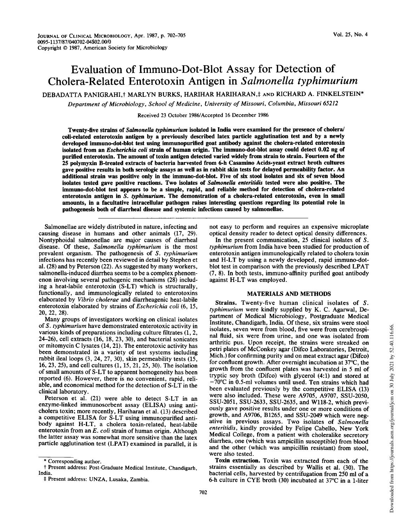# Evaluation of Immuno-Dot-Blot Assay for Detection of Cholera-Related Enterotoxin Antigen in Salmonella typhimurium

DEBADATTA PANIGRAHI,† MARLYN BURKS, HARIHAR HARIHARAN,‡ AND RICHARD A. FINKELSTEIN\*

Department of Microbiology, School of Medicine, University of Missouri, Columbia, Missouri 65212

Received 23 October 1986/Accepted 16 December 1986

Twenty-five strains of Salmonella typhimurium isolated in India were examined for the presence of cholera/ coli-related enterotoxin antigen by a previously described latex particle agglutination test and by a newly developed immuno-dot-blot test using immunopurified goat antibody against the cholera-related enterotoxin isolated from an Escherichia coli strain of human origin. The immuno-dot-blot assay could detect 0.02 ng of purified enterotoxin. The amount of toxin antigen detected varied widely from strain to strain. Fourteen of the 25 polymyxin B-treated extracts of bacteria harvested from 6-h Casamino Acids-yeast extract broth cultures gave positive results in both serologic assays as well as in rabbit skin tests for delayed permeability factor. An additional strain was positive only in the immuno-dot-blot. Five of six stool isolates and six of seven blood isolates tested gave positive reactions. Two isolates of Salmonella enteritidis tested were also positive. The immuno-dot-blot test appears to be a simple, rapid, and reliable method for detection of cholera-related enterotoxin antigen in S. typhimurium. The demonstration of a cholera-related enterotoxin, even in small amounts, in a facultative intracellular pathogen raises interesting questions regarding its potential role in pathogenesis both of diarrheal disease and systemic infections caused by salmonella.

Salmonellae are widely distributed in nature, infecting and causing disease in humans and other animals (17, 29). Nontyphoidal salmonellae are major causes of diarrheal disease. Of these, Salmonella typhimurium is the most prevalent organism. The pathogenesis of S. typhimurium infections has recently been reviewed in detail by Stephen et al. (28) and by Peterson (22). As suggested by many workers, salmonella-induced diarrhea seems to be a complex phenomenon involving several pathogenic mechanisms (28) including a heat-labile enterotoxin (S-LT) which is structurally, functionally, and immunologically related to enterotoxins elaborated by Vibrio cholerae and diarrheagenic heat-labile enterotoxin elaborated by strains of Escherichia coli (6, 15, 20, 22, 28).

Many groups of investigators working on clinical isolates of S. typhimurium have demonstrated enterotoxic activity in various kinds of preparations including culture filtrates (1, 2, 24-26), cell extracts (16, 18, 23, 30), and bacterial sonicates or mitomycin C lysates (14, 21). The enterotoxic activity has been demonstrated in a variety of test systems including rabbit ileal loops (3, 24, 27, 30), skin permeability tests (15, 16, 23, 25), and cell cultures (1, 15, 21, 25, 30). The isolation of small amounts of S-LT to apparent homogeneity has been reported (6). However, there is no convenient, rapid, reliable, and economical method for the detection of S-LT in the clinical laboratory.

Peterson et al. (21) were able to detect S-LT in an enzyme-iinked immunosorbent assay (ELISA) using anticholera toxin; more recently, Hariharan et al. (13) described a competitive ELISA for S-LT using immunopurified antibody against H-LT, a cholera toxin-related, heat-labile enterotoxin from an E. coli strain of human origin. Although the latter assay was somewhat more sensitive than the latex particle agglutination test (LPAT) examined in parallel, it is

not easy to perform and requires an expensive microplate optical density reader to detect optical density differences.

In the present communication, 25 clinical isolates of S. typhimurium from India have been studied for production of enterotoxin antigen immunologically related to cholera toxin and H-LT by using a newly developed, rapid immuno-dotblot test in comparison with the previously described LPAT (7, 8). In both tests, immuno-affinity purified goat antibody against H-LT was employed.

## MATERIALS AND METHODS

Strains. Twenty-five human clinical isolates of S. typhimurium were kindly supplied by K. C. Agarwal, Department of Medical Microbiology, Postgraduate Medical Institute, Chandigarh, India. Of these, six strains were stool isolates, seven were from blood, five were from cerebrospinal fluid, six were from urine, and one was isolated from arthritic pus. Upon receipt, the strains were streaked on petri plates of McConkey agar (Difco Laboratories, Detroit, Mich.) for confirming purity and on meat extract agar (Difco) for confluent growth. After overnight incubation at 37°C, the growth from the confluent plates was harvested in 5 ml of tryptic soy broth (Difco) with glycerol (4:1) and stored at -70°C in 0.5-ml volumes until used. Ten strains which had been evaluated previously by the competitive ELISA (13) were also included. These were A9705, A9707, SSU-2050, SSU-2051, SSU-2633, SSU-2635, and W118-2, which previously gave positive results under one or more conditions of growth, and A9706, B1265, and SSU-2049 which were negative in previous assays. Two isolates of Salmonella enteritidis, kindly provided by Felipe Cabello, New York Medical College, from a patient with choleralike secretory diarrhea, one (which was ampicillin susceptible) from blood and the other (which was ampicillin resistant) from stool, were also tested.

Toxin extraction. Toxin was extracted from each of the strains essentially as described by Wallis et al. (30). The bacterial cells, harvested by centrifugation from 250 ml of a 6-h culture in CYE broth (30) incubated at 37°C in <sup>a</sup> 1-liter

<sup>\*</sup> Corresponding author.

t Present address: Post-Graduate Medical Institute, Chandigarh, India.

<sup>t</sup> Present address: UNZA, Lusaka, Zambia.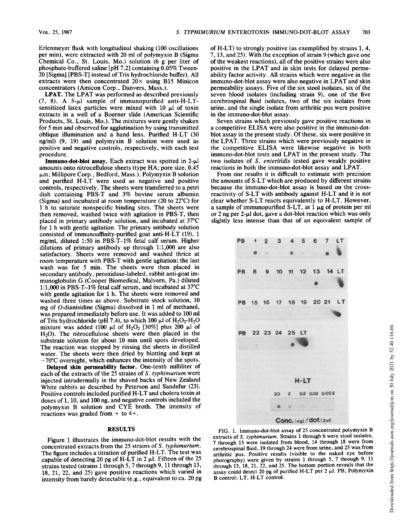Erlenmeyer flask with longitudinal shaking (100 oscillations per min), were extracted with 20 ml of polymyxin B (Sigma Chemical Co., St. Louis, Mo.) solution (6 g per liter of phosphate-buffered saline [pH 7.2] containing 0.05% Tween-20 [Sigma] [PBS-T] instead of Tris hydrochloride buffer). Ail extracts were then concentrated  $20 \times$  using B15 Minicon concentrators (Amicon Corp., Danvers, Mass.).

LPAT. The LPAT was performed as described previously  $(7, 8)$ . A 5-µl sample of immunopurified anti-H-LTsensitized latex particles were mixed with  $10 \mu l$  of toxin extracts in a well of a Boerner slide (American Scientific Products, St. Louis, Mo.). The mixtures were gently shaken for 5 min and observed for agglutination by using transmitted oblique illumination and a hand lens. Purified H-LT (30 ng/ml) (9, 19) and polymyxin B solution were used as positive and negative controls, respectively, with each test procedure.

Immuno-dot-blot assay. Each extract was spotted in  $2-\mu l$ amounts onto nitrocellulose sheets (type HA; pore size, 0.45  $\mu$ m; Millipore Corp., Bedford, Mass.). Polymyxin B solution and purified H-LT were used as negative and positive controls, respectively. The sheets were transferred to a petri dish containing PBS-T and 3% bovine serum albumin (Sigma) and incubated at room temperature (20 to 22°C) for <sup>1</sup> h to saturate nonspecific binding sites. The sheets were then removed, washed twice with agitation in PBS-T, then placed in primary antibody solution, and incubated at 37°C for <sup>1</sup> h with gentle agitation. The primary antibody solution consisted of immunoaffinity-purified goat anti-H-LT (19), <sup>1</sup> mg/ml, diluted 1:50 in PBS-T-1% fetal calf serum. Higher dilutions of primary antibody up through 1:1,000 are also satisfactory. Sheets were removed and washed thrice at room temperature with PBS-T with gentle agitation; the last wash was for 5 min. The sheets were then placed in secondary antibody, peroxidase-labeled, rabbit anti-goat immunoglobulin G (Cooper Biomedical, Malvern, Pa.) diluted 1:1,000 in PBS-T-1% fetal calf serum, and incubated at 37°C with gentle agitation for <sup>1</sup> h. The sheets were removed and washed three times as above. Substrate stock solution, 10 mg of O-dianisidine (Sigma) dissolved in <sup>1</sup> ml of methanol, was prepared immediately before use. It was added to 100 ml of Tris hydrochloride (pH 7.4), to which 100  $\mu$ l of H<sub>2</sub>O<sub>2</sub>-H<sub>2</sub>O mixture was added (100  $\mu$ l of H<sub>2</sub>O<sub>2</sub> [30%] plus 200  $\mu$ l of H20). The nitrocellulose sheets were then placed in the substrate solution for about 10 min until spots developed. The reaction was stopped by rinsing the sheets in distilled water. The sheets were then dried by blotting and kept at  $-70^{\circ}$ C overnight, which enhances the intensity of the spots.

Delayed skin permeability factor. One-tenth milliliter of each of the extracts of the <sup>25</sup> strains of S. typhimurium were injected intradermally in the shaved backs of New Zealand White rabbits as described by Peterson and Sandefur (23). Positive controls included purified H-LT and cholera toxin at doses of 1, 10, and 100 ng, and negative controls included the polymyxin B solution and CYE broth. The intensity of reactions was graded from  $+$  to  $4+.$ 

### RESULTS

Figure <sup>1</sup> illustrates the immuno-dot-blot results with the concentrated extracts from the 25 strains of S. typhimurium. The figure includes a titration of purified H-LT. The test was capable of detecting 20 pg of H-LT in 2  $\mu$ l. Fifteen of the 25 strains tested (strains <sup>1</sup> through 5, 7 through 9, 11 through 13, 18, 21, 22, and 25) gave positive reactions which varied in intensity from barely detectable (e.g., equivalent to ca. 20 pg

of H-LT) to strongly positive (as exemplified by strains 1, 4, 7, 13, and 25). With the exception of strain 9 (which gave one of the weakest reactions), ail of the positive strains were also positive in the LPAT and in skin tests for delayed permeability factor activity. All strains which were negative in the immuno-dot-blot assay were also negative in LPAT and skin permeability assays. Five of the six stool isolates, six of the seven blood isolates (including strain 9), one of the five cerebrospinal fluid isolates, two of the six isolates from urine, and the single isolate from arthritic pus were positive in the immuno-dot-blot assay.

Seven strains which previously gave positive reactions in a competitive ELISA were also positive in the immuno-dotblot assay in the present study. Of these, six were positive in the LPAT. Three strains which were previously negative in the competitive ELISA were likewise negative in both immuno-dot-blot tests and LPAT in the present study. The two isolates of S. enteritidis tested gave weakly positive reactions in both the immuno-dot-blot assay and LPAT.

From our results it is difficult to estimate with precision the amounts of S-LT which are produced by different strains because the immuno-dot-blot assay is based on the crossreactivity of S-LT with antibody against H-LT and it is not clear whether S-LT reacts equivalently to H-LT. However, a sample of immunopurified S-LT, at  $1 \mu$ g of protein per ml or 2 ng per  $2-\mu$  dot, gave a dot-blot reaction which was only slightly less intense than that of an equivalent sample of



FIG. 1. Immuno-dot-blot assay of <sup>25</sup> concentrated polymyxin B extracts of S. typhimurium. Strains <sup>1</sup> through <sup>6</sup> were stool isolates, <sup>7</sup> through <sup>13</sup> were isolated from blood, <sup>14</sup> through <sup>18</sup> were from cerebrospinal fluid, <sup>19</sup> through <sup>24</sup> were from urine, and <sup>25</sup> was from arthritic pus. Positive results (visible to the naked eye before photography) were given by strains <sup>1</sup> through 5, <sup>7</sup> through 9, <sup>11</sup> through 13, 18, 21, 22, and 25. The bottom portion reveals that the assay could detect 20 pg of purified H-LT per 2  $\mu$ l. PB, Polymyxin B control; LT, H-LT control.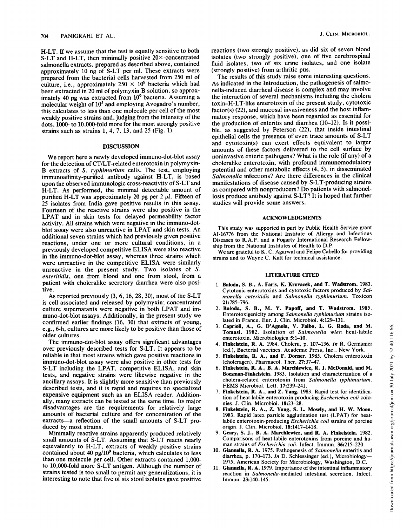H-LT. If we assume that the test is equally sensitive to both S-LT and H-LT, then minimally positive 20x-concentrated salmonella extracts, prepared as described above, contained approximately 10 ng of S-LT per ml. These extracts were prepared from the bacterial cells harvested from 250 ml of culture, i.e., approximately  $250 \times 10^9$  bacteria which had been extracted in 20 ml of polymyxin B solution, so approximately 40 pg was extracted from 10<sup>9</sup> bacteria. Assuming a molecular weight of  $10<sup>5</sup>$  and employing Avogadro's number, this calculates to less than one molecule per cell of the most weakly positive strains and, judging from the intensity of the dots, 1000- to 10,000-fold more for the most strongly positive strains such as strains  $1, 4, 7, 13$ , and  $25$  (Fig. 1).

## **DISCUSSION**

We report here <sup>a</sup> newly developed immuno-dot-blot assay for the detection of CT/LT-related enterotoxin in polymyxin-B extracts of S. typhimurium cells. The test, employing immunoaffinity-purified antibody against H-LT, is based upon the observed immunologic cross-reactivity of S-LT and H-LT. As performed, the minimal detectable amount of purified H-LT was approximately 20 pg per 2  $\mu$ l. Fifteen of 25 isolates from India gave positive results in this assay. Fourteen of the reactive strains were also positive in the LPAT and in skin tests for delayed permeability factor activity. All strains which were negative in the immuno-dotblot assay were also unreactive in LPAT and skin tests. An additional seven strains which had previously given positive reactions, under one or more cultural conditions, in a previously developed competitive ELISA were also reactive in the immuno-dot-blot assay, whereas three strains which were unreactive in the competitive ELISA were similarly unreactive in the present study. Two isolates of S. enteritidis, one from blood and one from stool, from a patient with choleralike secretory diarrhea were also positive.

As reported previously (3, 6, 16, 28, 30), most of the S-LT is cell associated and released by polymyxin; concentrated culture supernatants were negative in both LPAT and immuno-dot-blot assays. Additionally, in the present study we confirmed earlier findings (16, 30) that extracts of young, e.g., 6-h, cultures are more likely to be positive than those of older cultures.

The immuno-dot-blot assay offers significant advantages over previously described tests for S-LT. It appears to be reliable in that most strains which gave positive reactions in immuno-dot-blot assay were also positive in other tests for S-LT including the LPAT, competitive ELISA, and skin tests, and negative strains were likewise negative in the ancillary assays. It is slightly more sensitive than previously described tests, and it is rapid and requires no specialized expensive equipment such as an ELISA reader. Additionally, many extracts can be tested at the same time. Its major disadvantages are the requirements for relatively large amounts of bacterial culture and for concentration of the extracts-a reflection of the small amounts of S-LT produced by most strains.

Minimally reactive strains apparently produced relatively small amounts of S-LT. Assuming that S-LT reacts nearly equivalently to H-LT, extracts of weakly positive strains contained about 40 pg/109 bacteria, which calculates to less than one molecule per cell. Other extracts contained 1,000 to 10,000-fold more S-LT antigen. Although the number of strains tested is too small to permit any generalizations, it is interesting to note that five of six stool isolates gave positive reactions (two strongly positive), as did six of seven blood isolates (two strongly positive), one of five cerebrospinal fluid isolates, two of six urine isolates, and one isolate (strongly positive) from arthritic pus.

The results of this study raise some interesting questions. As indicated in the Introduction, the pathogenesis of salmonella-induced diarrheal disease is complex and may involve the interaction of several mechanisms including the cholera toxin-H-LT-like enterotoxin of the present study, cytotoxic factor(s) (22), and mucosal invasiveness and the host inflammatory response, which have been regarded as essential for the production of enteritis and diarrhea (10-12). Is it possible, as suggested by Peterson (22), that inside intestinal epithelial cells the presence of even trace amounts of S-LT and cytotoxin(s) can exert effects equivalent to larger amounts of these factors delivered to the cell surface by noninvasive enteric pathogens? What is the role (if any) of a choleralike enterotoxin, with profound immunomodulatory potential and other metabolic effects (4, 5), in disseminated Salmonella infections? Are there differences in the clinical manifestations of disease caused by S-LT-producing strains as compared with nonproducers? Do patients with salmonellosis produce antibody against S-LT? It is hoped that further studies will provide some answers.

#### ACKNOWLEDGMENTS

This study was supported in part by Public Health Service grant AI-16776 from the National Institute of Allergy and Infectious Diseases to R.A.F. and a Fogarty International Research Fellowship from the National Institutes of Health to D.P.

We are grateful to K. C. Agarwal and Felipe Cabello for providing strains and to Wayne C. Katt for technical assistance.

#### LITERATURE CITED

- 1. Baloda, S. B., A. Faris, K. Krovacek, and T. Wadstrom. 1983. Cytotonic enterotoxins and cytotoxic factors produced by Salmonella enteritidis and Salmonella typhimurium. Toxicon 21:785-796.
- 2. Baloda, S. B., M. Y. Papoff, and T. Wadstrom. 1985. Enterotoxigenicity among Salmonella typhimurium strains isolated in France. Eur. J. Clin. Microbiol. 4:129-131.
- 3. Caprioli, A., G. D'Agnola, V. Falbo, L. G. Roda, and M. Tomasi. 1982. Isolation of Salmonella wien heat-labile enterotoxin. Microbiologica 5:1-10.
- 4. Finkelstein, R. A. 1984. Cholera, p. 107-136. In R. Germanier (ed.), Bacterial vaccines. Academic Press, Inc., New York.
- 5. Finkelstein, R. A., and F. Dorner. 1985. Cholera enterotoxin (choleragen). Pharmacol. Ther. 27:37-47.
- 6. Finkelstein, R. A., B. A. Marchlewicz, R. J. McDonald, and M. Boesman-Finkelstein. 1983. Isolation and characterization of a cholera-related enterotoxin from Salmonella typhimurium. FEMS Microbiol. Lett. 17:239-241.
- 7. Finkelstein, R. A., and Z. Yang. 1983. Rapid test for identification of heat-labile enterotoxin producing Escherichia coli colonies. J. Clin. Microbiol. 18:23-28.
- 8. Finkelstein, R. A., Z. Yang, S. L. Mosely, and H. W. Moon. 1983. Rapid latex particle agglutination test (LPAT) for heatlabile enterotoxin-producing Escherichia coli strains of porcine origin. J. Clin. Microbiol. 18:1417-1418.
- 9. Geary, S. J., B. A. Marchlewicz, and R. A. Finkelstein. 1982. Comparisons of heat-labile enterotoxins from porcine and human strains of Escherichia coli. Infect. Immun. 36:215-220.
- 10. Giannella, R. A. 1975. Pathogenesis of Salmonella enteritis and diarrhea, p. 170-173. In D. Schlessinger (ed.), Microbiology-1975, American Society for Microbiology, Washington, D.C.
- 11. Giannella, R. A. 1979. Importance of the intestinal inflammatory reaction in Salmonella-mediated intestinal secretion. Infect. Immun. 23:140-145.